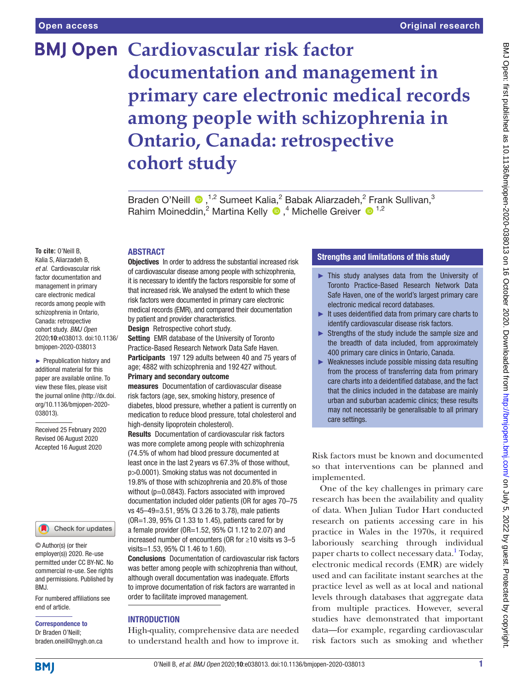# **BMJ Open Cardiovascular risk factor documentation and management in primary care electronic medical records among people with schizophrenia in Ontario, Canada: retrospective cohort study**

BradenO'Neill <sup>®</sup>,<sup>1,2</sup> Sumeet Kalia,<sup>2</sup> Babak Aliarzadeh,<sup>2</sup> Frank Sullivan,<sup>3</sup> RahimMoineddin,<sup>2</sup> Martina Kelly <sup>1</sup>,<sup>4</sup> Michelle Greiver <sup>1,2</sup>

**To cite:** O'Neill B, Kalia S, Aliarzadeh B, *et al*. Cardiovascular risk factor documentation and management in primary care electronic medical records among people with schizophrenia in Ontario, Canada: retrospective cohort study. *BMJ Open* 2020;10:e038013. doi:10.1136/ bmjopen-2020-038013

► Prepublication history and additional material for this paper are available online. To view these files, please visit the journal online (http://dx.doi. org/10.1136/bmjopen-2020- 038013).

Received 25 February 2020 Revised 06 August 2020 Accepted 16 August 2020



© Author(s) (or their employer(s)) 2020. Re-use permitted under CC BY-NC. No commercial re-use. See rights and permissions. Published by BMJ.

For numbered affiliations see end of article.

Correspondence to

Dr Braden O'Neill; braden.oneill@nygh.on.ca

# ABSTRACT

**Objectives** In order to address the substantial increased risk of cardiovascular disease among people with schizophrenia, it is necessary to identify the factors responsible for some of that increased risk. We analysed the extent to which these risk factors were documented in primary care electronic medical records (EMR), and compared their documentation by patient and provider characteristics. Design Retrospective cohort study.

Setting EMR database of the University of Toronto Practice-Based Research Network Data Safe Haven.

Participants 197 129 adults between 40 and 75 years of age; 4882 with schizophrenia and 192 427 without. Primary and secondary outcome

measures Documentation of cardiovascular disease risk factors (age, sex, smoking history, presence of diabetes, blood pressure, whether a patient is currently on medication to reduce blood pressure, total cholesterol and high-density lipoprotein cholesterol).

Results Documentation of cardiovascular risk factors was more complete among people with schizophrenia (74.5% of whom had blood pressure documented at least once in the last 2 years vs 67.3% of those without, p>0.0001). Smoking status was not documented in 19.8% of those with schizophrenia and 20.8% of those without  $(p=0.0843)$ . Factors associated with improved documentation included older patients (OR for ages 70–75 vs 45–49=3.51, 95% CI 3.26 to 3.78), male patients (OR=1.39, 95% CI 1.33 to 1.45), patients cared for by a female provider (OR=1.52, 95% CI 1.12 to 2.07) and increased number of encounters (OR for ≥10 visits vs 3–5 visits=1.53, 95% CI 1.46 to 1.60).

Conclusions Documentation of cardiovascular risk factors was better among people with schizophrenia than without, although overall documentation was inadequate. Efforts to improve documentation of risk factors are warranted in order to facilitate improved management.

# **INTRODUCTION**

High-quality, comprehensive data are needed to understand health and how to improve it.

# Strengths and limitations of this study

- ► This study analyses data from the University of Toronto Practice-Based Research Network Data Safe Haven, one of the world's largest primary care electronic medical record databases.
- ► It uses deidentified data from primary care charts to identify cardiovascular disease risk factors.
- ► Strengths of the study include the sample size and the breadth of data included, from approximately 400 primary care clinics in Ontario, Canada.
- ► Weaknesses include possible missing data resulting from the process of transferring data from primary care charts into a deidentified database, and the fact that the clinics included in the database are mainly urban and suburban academic clinics; these results may not necessarily be generalisable to all primary care settings.

Risk factors must be known and documented so that interventions can be planned and implemented.

One of the key challenges in primary care research has been the availability and quality of data. When Julian Tudor Hart conducted research on patients accessing care in his practice in Wales in the 1970s, it required laboriously searching through individual paper charts to collect necessary data.<sup>[1](#page-7-0)</sup> Today, electronic medical records (EMR) are widely used and can facilitate instant searches at the practice level as well as at local and national levels through databases that aggregate data from multiple practices. However, several studies have demonstrated that important data—for example, regarding cardiovascular risk factors such as smoking and whether

**BMI**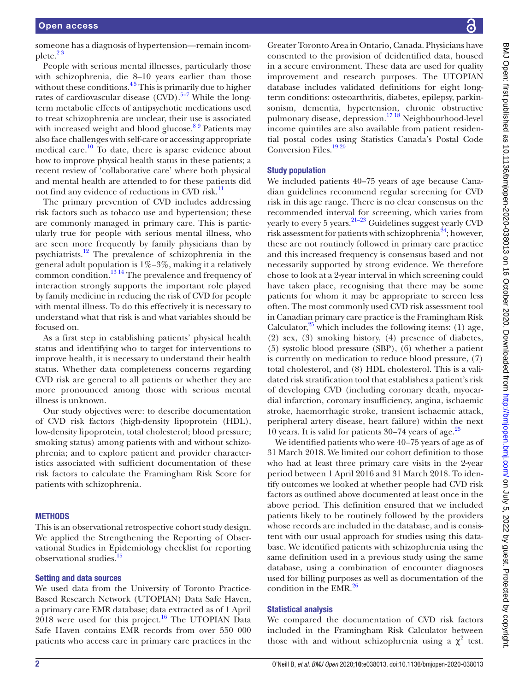someone has a diagnosis of hypertension—remain incomplete.[2 3](#page-7-1)

People with serious mental illnesses, particularly those with schizophrenia, die 8–10 years earlier than those without these conditions.<sup>45</sup> This is primarily due to higher rates of cardiovascular disease  $(CVD)$ .<sup>5–7</sup> While the longterm metabolic effects of antipsychotic medications used to treat schizophrenia are unclear, their use is associated with increased weight and blood glucose. $89$  Patients may also face challenges with self-care or accessing appropriate medical care.<sup>10</sup> To date, there is sparse evidence about how to improve physical health status in these patients; a recent review of 'collaborative care' where both physical and mental health are attended to for these patients did not find any evidence of reductions in CVD risk.<sup>11</sup>

The primary prevention of CVD includes addressing risk factors such as tobacco use and hypertension; these are commonly managed in primary care. This is particularly true for people with serious mental illness, who are seen more frequently by family physicians than by psychiatrists[.12](#page-8-2) The prevalence of schizophrenia in the general adult population is 1%–3%, making it a relatively common condition.<sup>[13 14](#page-8-3)</sup> The prevalence and frequency of interaction strongly supports the important role played by family medicine in reducing the risk of CVD for people with mental illness. To do this effectively it is necessary to understand what that risk is and what variables should be focused on.

As a first step in establishing patients' physical health status and identifying who to target for interventions to improve health, it is necessary to understand their health status. Whether data completeness concerns regarding CVD risk are general to all patients or whether they are more pronounced among those with serious mental illness is unknown.

Our study objectives were: to describe documentation of CVD risk factors (high-density lipoprotein (HDL), low-density lipoprotein, total cholesterol; blood pressure; smoking status) among patients with and without schizophrenia; and to explore patient and provider characteristics associated with sufficient documentation of these risk factors to calculate the Framingham Risk Score for patients with schizophrenia.

#### **METHODS**

This is an observational retrospective cohort study design. We applied the Strengthening the Reporting of Observational Studies in Epidemiology checklist for reporting observational studies.<sup>1</sup>

#### Setting and data sources

We used data from the University of Toronto Practice-Based Research Network (UTOPIAN) Data Safe Haven, a primary care EMR database; data extracted as of 1 April  $2018$  were used for this project.<sup>16</sup> The UTOPIAN Data Safe Haven contains EMR records from over 550 000 patients who access care in primary care practices in the

Greater Toronto Area in Ontario, Canada. Physicians have consented to the provision of deidentified data, housed in a secure environment. These data are used for quality improvement and research purposes. The UTOPIAN database includes validated definitions for eight longterm conditions: osteoarthritis, diabetes, epilepsy, parkinsonism, dementia, hypertension, chronic obstructive pulmonary disease, depression.[17 18](#page-8-6) Neighbourhood-level income quintiles are also available from patient residential postal codes using Statistics Canada's Postal Code Conversion Files.<sup>1920</sup>

#### Study population

We included patients 40–75 years of age because Canadian guidelines recommend regular screening for CVD risk in this age range. There is no clear consensus on the recommended interval for screening, which varies from yearly to every 5 years. $21-23$  Guidelines suggest yearly CVD risk assessment for patients with schizophrenia<sup>24</sup>; however, these are not routinely followed in primary care practice and this increased frequency is consensus based and not necessarily supported by strong evidence. We therefore chose to look at a 2-year interval in which screening could have taken place, recognising that there may be some patients for whom it may be appropriate to screen less often. The most commonly used CVD risk assessment tool in Canadian primary care practice is the Framingham Risk Calculator, $25$  which includes the following items: (1) age, (2) sex, (3) smoking history, (4) presence of diabetes, (5) systolic blood pressure (SBP), (6) whether a patient is currently on medication to reduce blood pressure, (7) total cholesterol, and (8) HDL cholesterol. This is a validated risk stratification tool that establishes a patient's risk of developing CVD (including coronary death, myocardial infarction, coronary insufficiency, angina, ischaemic stroke, haemorrhagic stroke, transient ischaemic attack, peripheral artery disease, heart failure) within the next 10 years. It is valid for patients  $30-74$  years of age.<sup>25</sup>

We identified patients who were 40–75 years of age as of 31 March 2018. We limited our cohort definition to those who had at least three primary care visits in the 2-year period between 1 April 2016 and 31 March 2018. To identify outcomes we looked at whether people had CVD risk factors as outlined above documented at least once in the above period. This definition ensured that we included patients likely to be routinely followed by the providers whose records are included in the database, and is consistent with our usual approach for studies using this database. We identified patients with schizophrenia using the same definition used in a previous study using the same database, using a combination of encounter diagnoses used for billing purposes as well as documentation of the condition in the EMR. $^{26}$ 

## Statistical analysis

We compared the documentation of CVD risk factors included in the Framingham Risk Calculator between those with and without schizophrenia using a  $\chi^2$  test.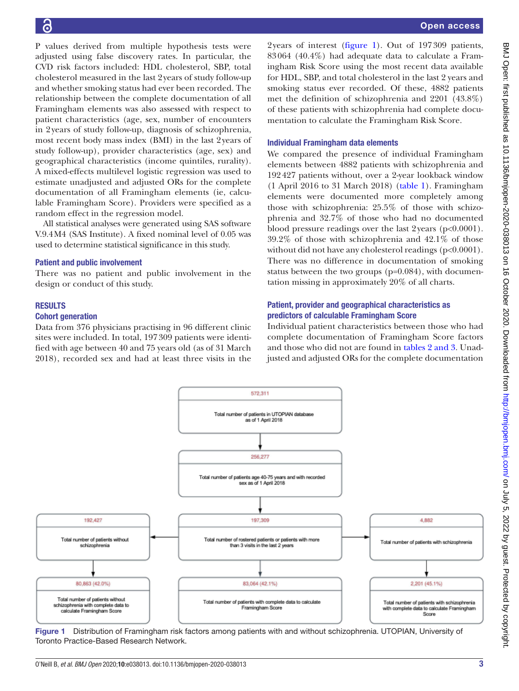P values derived from multiple hypothesis tests were adjusted using false discovery rates. In particular, the CVD risk factors included: HDL cholesterol, SBP, total cholesterol measured in the last 2years of study follow-up and whether smoking status had ever been recorded. The relationship between the complete documentation of all Framingham elements was also assessed with respect to patient characteristics (age, sex, number of encounters in 2years of study follow-up, diagnosis of schizophrenia, most recent body mass index (BMI) in the last 2years of study follow-up), provider characteristics (age, sex) and geographical characteristics (income quintiles, rurality). A mixed-effects multilevel logistic regression was used to estimate unadjusted and adjusted ORs for the complete documentation of all Framingham elements (ie, calculable Framingham Score). Providers were specified as a random effect in the regression model.

All statistical analyses were generated using SAS software V.9.4M4 (SAS Institute). A fixed nominal level of 0.05 was used to determine statistical significance in this study.

#### Patient and public involvement

There was no patient and public involvement in the design or conduct of this study.

#### RESULTS

#### Cohort generation

Data from 376 physicians practising in 96 different clinic sites were included. In total, 197309 patients were identified with age between 40 and 75 years old (as of 31 March 2018), recorded sex and had at least three visits in the

2years of interest [\(figure](#page-2-0) 1). Out of 197309 patients, 83064 (40.4%) had adequate data to calculate a Framingham Risk Score using the most recent data available for HDL, SBP, and total cholesterol in the last 2 years and smoking status ever recorded. Of these, 4882 patients met the definition of schizophrenia and 2201 (43.8%) of these patients with schizophrenia had complete documentation to calculate the Framingham Risk Score.

#### Individual Framingham data elements

We compared the presence of individual Framingham elements between 4882 patients with schizophrenia and 192427 patients without, over a 2-year lookback window (1 April 2016 to 31 March 2018) ([table](#page-3-0) 1). Framingham elements were documented more completely among those with schizophrenia: 25.5% of those with schizophrenia and 32.7% of those who had no documented blood pressure readings over the last 2years (p<0.0001). 39.2% of those with schizophrenia and 42.1% of those without did not have any cholesterol readings (p<0.0001). There was no difference in documentation of smoking status between the two groups (p=0.084), with documentation missing in approximately 20% of all charts.

## Patient, provider and geographical characteristics as predictors of calculable Framingham Score

Individual patient characteristics between those who had complete documentation of Framingham Score factors and those who did not are found in tables [2 and 3.](#page-4-0) Unadjusted and adjusted ORs for the complete documentation



<span id="page-2-0"></span>Figure 1 Distribution of Framingham risk factors among patients with and without schizophrenia. UTOPIAN, University of Toronto Practice-Based Research Network.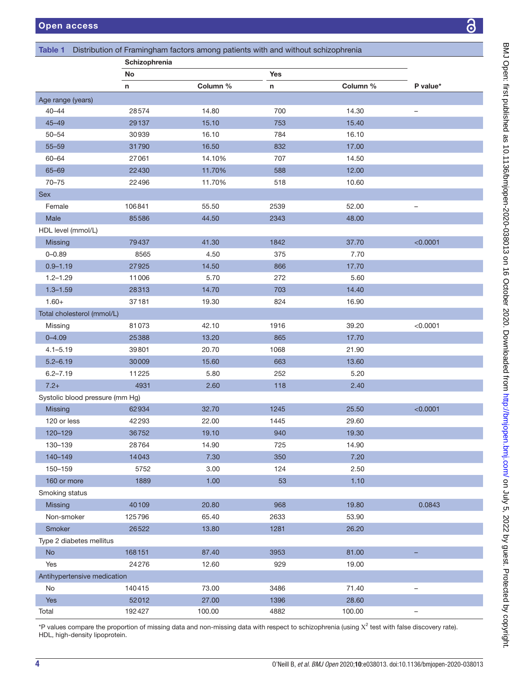BMJ Open: first published as 10.1136/bmjopen-2020-038013 on 16 October 2020. Downloaded from http://bmjopen.bmj.com/ on July 5, 2022 by guest. Protected by copyright. BMJ Open: first published as 10.1136/bmjopen-2020-038013 on 16 October 2020. Downloaded from <http://bmjopen.bmj.com/> on July 5, 2022 by guest. Protected by copyright.

<span id="page-3-0"></span>

| Table 1                         |               | Distribution of Framingham factors among patients with and without schizophrenia |      |          |                          |
|---------------------------------|---------------|----------------------------------------------------------------------------------|------|----------|--------------------------|
|                                 | Schizophrenia |                                                                                  |      |          |                          |
|                                 | No            |                                                                                  | Yes  |          |                          |
|                                 | n             | Column %                                                                         | n    | Column % | P value*                 |
| Age range (years)               |               |                                                                                  |      |          |                          |
| $40 - 44$                       | 28574         | 14.80                                                                            | 700  | 14.30    |                          |
| $45 - 49$                       | 29137         | 15.10                                                                            | 753  | 15.40    |                          |
| $50 - 54$                       | 30939         | 16.10                                                                            | 784  | 16.10    |                          |
| $55 - 59$                       | 31790         | 16.50                                                                            | 832  | 17.00    |                          |
| $60 - 64$                       | 27061         | 14.10%                                                                           | 707  | 14.50    |                          |
| $65 - 69$                       | 22430         | 11.70%                                                                           | 588  | 12.00    |                          |
| $70 - 75$                       | 22496         | 11.70%                                                                           | 518  | 10.60    |                          |
| <b>Sex</b>                      |               |                                                                                  |      |          |                          |
| Female                          | 106841        | 55.50                                                                            | 2539 | 52.00    | $\overline{\phantom{m}}$ |
| Male                            | 85586         | 44.50                                                                            | 2343 | 48.00    |                          |
| HDL level (mmol/L)              |               |                                                                                  |      |          |                          |
| <b>Missing</b>                  | 79437         | 41.30                                                                            | 1842 | 37.70    | < 0.0001                 |
| $0 - 0.89$                      | 8565          | 4.50                                                                             | 375  | 7.70     |                          |
| $0.9 - 1.19$                    | 27925         | 14.50                                                                            | 866  | 17.70    |                          |
| $1.2 - 1.29$                    | 11006         | 5.70                                                                             | 272  | 5.60     |                          |
| $1.3 - 1.59$                    | 28313         | 14.70                                                                            | 703  | 14.40    |                          |
| $1.60+$                         | 37181         | 19.30                                                                            | 824  | 16.90    |                          |
| Total cholesterol (mmol/L)      |               |                                                                                  |      |          |                          |
| Missing                         | 81073         | 42.10                                                                            | 1916 | 39.20    | < 0.0001                 |
| $0 - 4.09$                      | 25388         | 13.20                                                                            | 865  | 17.70    |                          |
| $4.1 - 5.19$                    | 39801         | 20.70                                                                            | 1068 | 21.90    |                          |
| $5.2 - 6.19$                    | 30009         | 15.60                                                                            | 663  | 13.60    |                          |
|                                 |               |                                                                                  |      |          |                          |
| $6.2 - 7.19$                    | 11225         | 5.80                                                                             | 252  | 5.20     |                          |
| $7.2+$                          | 4931          | 2.60                                                                             | 118  | 2.40     |                          |
| Systolic blood pressure (mm Hg) |               |                                                                                  |      |          |                          |
| <b>Missing</b>                  | 62934         | 32.70                                                                            | 1245 | 25.50    | < 0.0001                 |
| 120 or less                     | 42293         | 22.00                                                                            | 1445 | 29.60    |                          |
| 120-129                         | 36752         | 19.10                                                                            | 940  | 19.30    |                          |
| 130-139                         | 28764         | 14.90                                                                            | 725  | 14.90    |                          |
| 140-149                         | 14043         | 7.30                                                                             | 350  | $7.20$   |                          |
| 150-159                         | 5752          | 3.00                                                                             | 124  | 2.50     |                          |
| 160 or more                     | 1889          | 1.00                                                                             | 53   | 1.10     |                          |
| Smoking status                  |               |                                                                                  |      |          |                          |
| Missing                         | 40109         | 20.80                                                                            | 968  | 19.80    | 0.0843                   |
| Non-smoker                      | 125796        | 65.40                                                                            | 2633 | 53.90    |                          |
| Smoker                          | 26522         | 13.80                                                                            | 1281 | 26.20    |                          |
| Type 2 diabetes mellitus        |               |                                                                                  |      |          |                          |
| No                              | 168151        | 87.40                                                                            | 3953 | 81.00    |                          |
| Yes                             | 24276         | 12.60                                                                            | 929  | 19.00    |                          |
| Antihypertensive medication     |               |                                                                                  |      |          |                          |
| No                              | 140415        | 73.00                                                                            | 3486 | 71.40    | -                        |
| Yes                             | 52012         | 27.00                                                                            | 1396 | 28.60    |                          |
| Total                           | 192427        | 100.00                                                                           | 4882 | 100.00   |                          |

\*P values compare the proportion of missing data and non-missing data with respect to schizophrenia (using X<sup>2</sup> test with false discovery rate). HDL, high-density lipoprotein.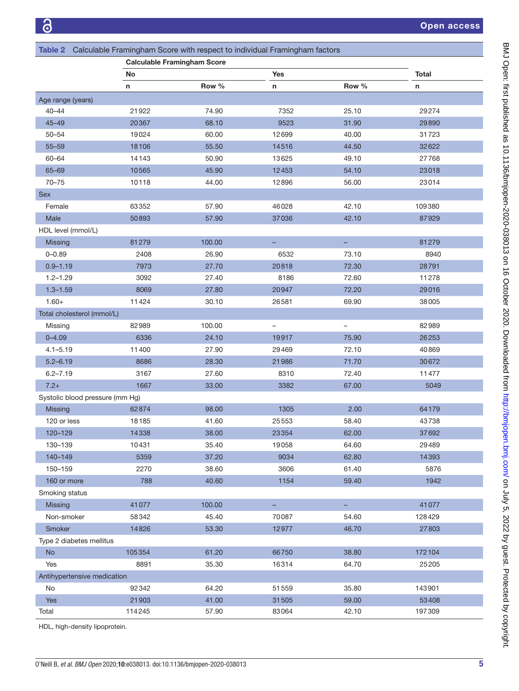<span id="page-4-0"></span>

|                                 |                                    | Table 2 Calculable Framingham Score with respect to individual Framingham factors |            |              |        |  |  |
|---------------------------------|------------------------------------|-----------------------------------------------------------------------------------|------------|--------------|--------|--|--|
|                                 | <b>Calculable Framingham Score</b> |                                                                                   |            |              |        |  |  |
|                                 | No                                 |                                                                                   | <b>Yes</b> | <b>Total</b> |        |  |  |
|                                 | n                                  | Row %                                                                             | n          | Row %        | n      |  |  |
| Age range (years)               |                                    |                                                                                   |            |              |        |  |  |
| 40–44                           | 21922                              | 74.90                                                                             | 7352       | 25.10        | 29274  |  |  |
| $45 - 49$                       | 20367                              | 68.10                                                                             | 9523       | 31.90        | 29890  |  |  |
| $50 - 54$                       | 19024                              | 60.00                                                                             | 12699      | 40.00        | 31723  |  |  |
| $55 - 59$                       | 18106                              | 55.50                                                                             | 14516      | 44.50        | 32622  |  |  |
| $60 - 64$                       | 14143                              | 50.90                                                                             | 13625      | 49.10        | 27768  |  |  |
| 65-69                           | 10565                              | 45.90                                                                             | 12453      | 54.10        | 23018  |  |  |
| $70 - 75$                       | 10118                              | 44.00                                                                             | 12896      | 56.00        | 23014  |  |  |
| <b>Sex</b>                      |                                    |                                                                                   |            |              |        |  |  |
| Female                          | 63352                              | 57.90                                                                             | 46028      | 42.10        | 109380 |  |  |
| Male                            | 50893                              | 57.90                                                                             | 37036      | 42.10        | 87929  |  |  |
| HDL level (mmol/L)              |                                    |                                                                                   |            |              |        |  |  |
| <b>Missing</b>                  | 81279                              | 100.00                                                                            |            |              | 81279  |  |  |
| $0 - 0.89$                      | 2408                               | 26.90                                                                             | 6532       | 73.10        | 8940   |  |  |
| $0.9 - 1.19$                    | 7973                               | 27.70                                                                             | 20818      | 72.30        | 28791  |  |  |
| $1.2 - 1.29$                    | 3092                               | 27.40                                                                             | 8186       | 72.60        | 11278  |  |  |
| $1.3 - 1.59$                    | 8069                               | 27.80                                                                             | 20947      | 72.20        | 29016  |  |  |
| $1.60+$                         | 11424                              | 30.10                                                                             | 26581      | 69.90        | 38005  |  |  |
| Total cholesterol (mmol/L)      |                                    |                                                                                   |            |              |        |  |  |
| Missing                         | 82989                              | 100.00                                                                            | -          | -            | 82989  |  |  |
| $0 - 4.09$                      | 6336                               | 24.10                                                                             | 19917      | 75.90        | 26253  |  |  |
| $4.1 - 5.19$                    | 11400                              | 27.90                                                                             | 29469      | 72.10        | 40869  |  |  |
| $5.2 - 6.19$                    | 8686                               | 28.30                                                                             | 21986      | 71.70        | 30672  |  |  |
| $6.2 - 7.19$                    | 3167                               | 27.60                                                                             | 8310       | 72.40        | 11477  |  |  |
| $7.2+$                          | 1667                               | 33.00                                                                             | 3382       | 67.00        | 5049   |  |  |
| Systolic blood pressure (mm Hg) |                                    |                                                                                   |            |              |        |  |  |
| Missing                         | 62874                              | 98.00                                                                             | 1305       | 2.00         | 64179  |  |  |
| 120 or less                     | 18185                              | 41.60                                                                             | 25553      | 58.40        | 43738  |  |  |
| 120-129                         | 14338                              | 38.00                                                                             | 23354      | 62.00        | 37692  |  |  |
| 130-139                         | 10431                              | 35.40                                                                             | 19058      | 64.60        | 29489  |  |  |
| 140-149                         | 5359                               | 37.20                                                                             | 9034       | 62.80        | 14393  |  |  |
| 150-159                         | 2270                               | 38.60                                                                             | 3606       | 61.40        | 5876   |  |  |
| 160 or more                     | 788                                | 40.60                                                                             | 1154       | 59.40        | 1942   |  |  |
| Smoking status                  |                                    |                                                                                   |            |              |        |  |  |
| Missing                         | 41077                              | 100.00                                                                            |            | -            | 41077  |  |  |
| Non-smoker                      | 58342                              | 45.40                                                                             | 70087      | 54.60        | 128429 |  |  |
| Smoker                          | 14826                              | 53.30                                                                             | 12977      | 46.70        | 27803  |  |  |
| Type 2 diabetes mellitus        |                                    |                                                                                   |            |              |        |  |  |
| <b>No</b>                       | 105354                             | 61.20                                                                             | 66750      | 38.80        | 172104 |  |  |
| Yes                             | 8891                               | 35.30                                                                             | 16314      | 64.70        | 25205  |  |  |
| Antihypertensive medication     |                                    |                                                                                   |            |              |        |  |  |
| No                              | 92342                              | 64.20                                                                             | 51559      | 35.80        | 143901 |  |  |
| Yes                             | 21903                              | 41.00                                                                             | 31505      | 59.00        | 53408  |  |  |
| Total                           | 114245                             | 57.90                                                                             | 83064      | 42.10        | 197309 |  |  |

HDL, high-density lipoprotein.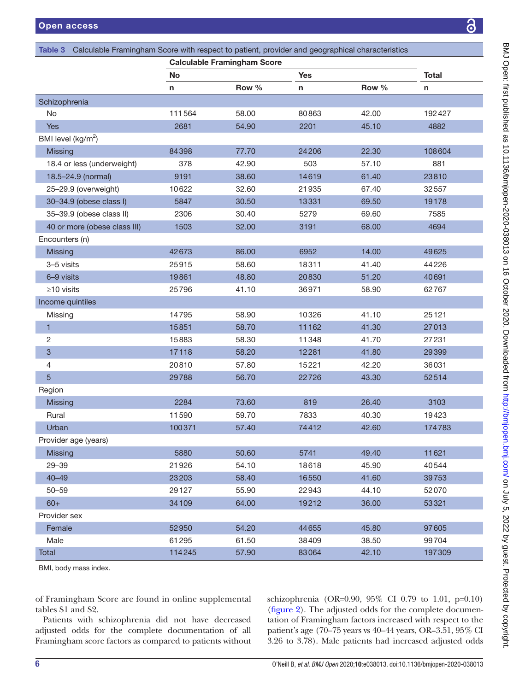<span id="page-5-0"></span>

|                                |        | <b>Calculable Framingham Score</b> |            |       |              |
|--------------------------------|--------|------------------------------------|------------|-------|--------------|
|                                | No     |                                    | <b>Yes</b> |       | <b>Total</b> |
|                                | n      | Row %                              | n          | Row % | n            |
| Schizophrenia                  |        |                                    |            |       |              |
| No                             | 111564 | 58.00                              | 80863      | 42.00 | 192427       |
| <b>Yes</b>                     | 2681   | 54.90                              | 2201       | 45.10 | 4882         |
| BMI level (kg/m <sup>2</sup> ) |        |                                    |            |       |              |
| <b>Missing</b>                 | 84398  | 77.70                              | 24206      | 22.30 | 108604       |
| 18.4 or less (underweight)     | 378    | 42.90                              | 503        | 57.10 | 881          |
| 18.5-24.9 (normal)             | 9191   | 38.60                              | 14619      | 61.40 | 23810        |
| 25-29.9 (overweight)           | 10622  | 32.60                              | 21935      | 67.40 | 32557        |
| 30-34.9 (obese class I)        | 5847   | 30.50                              | 13331      | 69.50 | 19178        |
| 35-39.9 (obese class II)       | 2306   | 30.40                              | 5279       | 69.60 | 7585         |
| 40 or more (obese class III)   | 1503   | 32.00                              | 3191       | 68.00 | 4694         |
| Encounters (n)                 |        |                                    |            |       |              |
| Missing                        | 42673  | 86.00                              | 6952       | 14.00 | 49625        |
| 3-5 visits                     | 25915  | 58.60                              | 18311      | 41.40 | 44226        |
| 6-9 visits                     | 19861  | 48.80                              | 20830      | 51.20 | 40691        |
| $\geq$ 10 visits               | 25796  | 41.10                              | 36971      | 58.90 | 62767        |
| Income quintiles               |        |                                    |            |       |              |
| Missing                        | 14795  | 58.90                              | 10326      | 41.10 | 25121        |
| $\mathbf{1}$                   | 15851  | 58.70                              | 11162      | 41.30 | 27013        |
| 2                              | 15883  | 58.30                              | 11348      | 41.70 | 27231        |
| $\ensuremath{\mathsf{3}}$      | 17118  | 58.20                              | 12281      | 41.80 | 29399        |
| $\overline{4}$                 | 20810  | 57.80                              | 15221      | 42.20 | 36031        |
| 5                              | 29788  | 56.70                              | 22726      | 43.30 | 52514        |
| Region                         |        |                                    |            |       |              |
| Missing                        | 2284   | 73.60                              | 819        | 26.40 | 3103         |
| Rural                          | 11590  | 59.70                              | 7833       | 40.30 | 19423        |
| Urban                          | 100371 | 57.40                              | 74412      | 42.60 | 174783       |
| Provider age (years)           |        |                                    |            |       |              |
| Missing                        | 5880   | 50.60                              | 5741       | 49.40 | 11621        |
| $29 - 39$                      | 21926  | 54.10                              | 18618      | 45.90 | 40544        |
| $40 - 49$                      | 23203  | 58.40                              | 16550      | 41.60 | 39753        |
| $50 - 59$                      | 29127  | 55.90                              | 22943      | 44.10 | 52070        |
| $60+$                          | 34109  | 64.00                              | 19212      | 36.00 | 53321        |
| Provider sex                   |        |                                    |            |       |              |
| Female                         | 52950  | 54.20                              | 44655      | 45.80 | 97605        |
| Male                           | 61295  | 61.50                              | 38409      | 38.50 | 99704        |

BMI, body mass index.

of Framingham Score are found in [online supplemental](https://dx.doi.org/10.1136/bmjopen-2020-038013) [tables S1 and S2.](https://dx.doi.org/10.1136/bmjopen-2020-038013)

Patients with schizophrenia did not have decreased adjusted odds for the complete documentation of all Framingham score factors as compared to patients without

schizophrenia (OR=0.90, 95% CI 0.79 to 1.01, p=0.10) [\(figure](#page-6-0) 2). The adjusted odds for the complete documentation of Framingham factors increased with respect to the patient's age (70–75 years vs 40–44 years, OR=3.51, 95% CI 3.26 to 3.78). Male patients had increased adjusted odds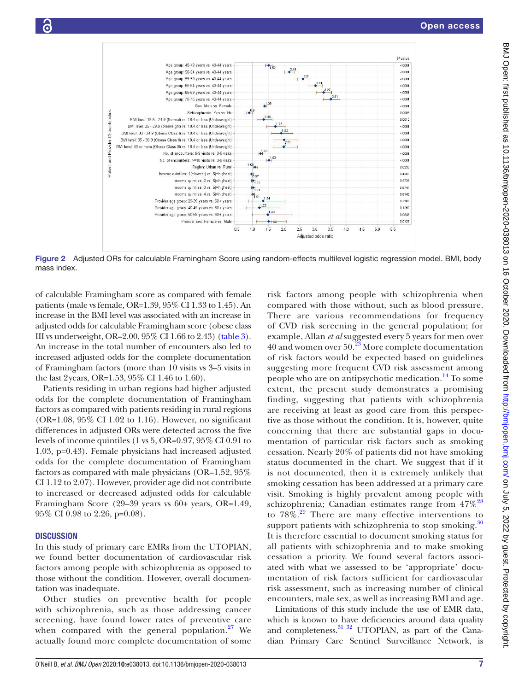

Figure 2 Adjusted ORs for calculable Framingham Score using random-effects multilevel logistic regression model. BMI, body mass index.

of calculable Framingham score as compared with female patients (male vs female, OR=1.39, 95% CI 1.33 to 1.45). An increase in the BMI level was associated with an increase in adjusted odds for calculable Framingham score (obese class III vs underweight, OR=2.00, 95% CI 1.66 to 2.43) ([table](#page-5-0) 3). An increase in the total number of encounters also led to increased adjusted odds for the complete documentation of Framingham factors (more than 10 visits vs 3–5 visits in the last 2years, OR=1.53, 95% CI 1.46 to 1.60).

Patients residing in urban regions had higher adjusted odds for the complete documentation of Framingham factors as compared with patients residing in rural regions (OR=1.08, 95% CI 1.02 to 1.16). However, no significant differences in adjusted ORs were detected across the five levels of income quintiles (1 vs 5, OR=0.97, 95% CI 0.91 to 1.03, p=0.43). Female physicians had increased adjusted odds for the complete documentation of Framingham factors as compared with male physicians (OR=1.52, 95% CI 1.12 to 2.07). However, provider age did not contribute to increased or decreased adjusted odds for calculable Framingham Score (29–39 years vs 60+ years, OR=1.49, 95% CI 0.98 to 2.26, p=0.08).

#### **DISCUSSION**

In this study of primary care EMRs from the UTOPIAN, we found better documentation of cardiovascular risk factors among people with schizophrenia as opposed to those without the condition. However, overall documentation was inadequate.

Other studies on preventive health for people with schizophrenia, such as those addressing cancer screening, have found lower rates of preventive care when compared with the general population. $27$  We actually found more complete documentation of some

<span id="page-6-0"></span>risk factors among people with schizophrenia when compared with those without, such as blood pressure. There are various recommendations for frequency of CVD risk screening in the general population; for example, Allan *et al* suggested every 5 years for men over 40 and women over  $50<sup>23</sup>$  $50<sup>23</sup>$  $50<sup>23</sup>$  More complete documentation of risk factors would be expected based on guidelines suggesting more frequent CVD risk assessment among people who are on antipsychotic medication.<sup>14</sup> To some extent, the present study demonstrates a promising finding, suggesting that patients with schizophrenia are receiving at least as good care from this perspective as those without the condition. It is, however, quite concerning that there are substantial gaps in documentation of particular risk factors such as smoking cessation. Nearly 20% of patients did not have smoking status documented in the chart. We suggest that if it is not documented, then it is extremely unlikely that smoking cessation has been addressed at a primary care visit. Smoking is highly prevalent among people with schizophrenia; Canadian estimates range from  $47\%^{28}$  $47\%^{28}$  $47\%^{28}$ to  $78\%$ .<sup>29</sup> There are many effective interventions to support patients with schizophrenia to stop smoking.<sup>[30](#page-8-17)</sup> It is therefore essential to document smoking status for all patients with schizophrenia and to make smoking cessation a priority. We found several factors associated with what we assessed to be 'appropriate' documentation of risk factors sufficient for cardiovascular risk assessment, such as increasing number of clinical encounters, male sex, as well as increasing BMI and age.

Limitations of this study include the use of EMR data, which is known to have deficiencies around data quality and completeness.<sup>[31 32](#page-8-18)</sup> UTOPIAN, as part of the Canadian Primary Care Sentinel Surveillance Network, is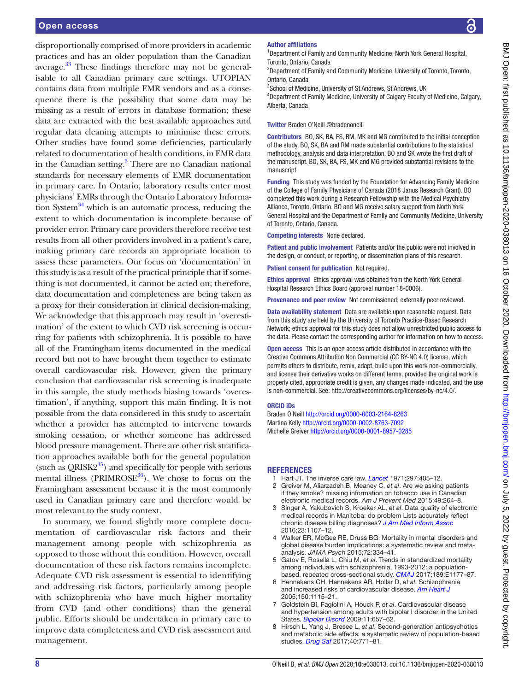disproportionally comprised of more providers in academic practices and has an older population than the Canadian average.<sup>33</sup> These findings therefore may not be generalisable to all Canadian primary care settings. UTOPIAN contains data from multiple EMR vendors and as a consequence there is the possibility that some data may be missing as a result of errors in database formation; these data are extracted with the best available approaches and regular data cleaning attempts to minimise these errors. Other studies have found some deficiencies, particularly related to documentation of health conditions, in EMR data in the Canadian setting.<sup>3</sup> There are no Canadian national standards for necessary elements of EMR documentation in primary care. In Ontario, laboratory results enter most physicians' EMRs through the Ontario Laboratory Information System $34$  which is an automatic process, reducing the extent to which documentation is incomplete because of provider error. Primary care providers therefore receive test results from all other providers involved in a patient's care, making primary care records an appropriate location to assess these parameters. Our focus on 'documentation' in this study is as a result of the practical principle that if something is not documented, it cannot be acted on; therefore, data documentation and completeness are being taken as a proxy for their consideration in clinical decision-making. We acknowledge that this approach may result in 'overestimation' of the extent to which CVD risk screening is occurring for patients with schizophrenia. It is possible to have all of the Framingham items documented in the medical record but not to have brought them together to estimate overall cardiovascular risk. However, given the primary conclusion that cardiovascular risk screening is inadequate in this sample, the study methods biasing towards 'overestimation', if anything, support this main finding. It is not possible from the data considered in this study to ascertain whether a provider has attempted to intervene towards smoking cessation, or whether someone has addressed blood pressure management. There are other risk stratification approaches available both for the general population (such as  $ORISK2^{35}$  $ORISK2^{35}$  $ORISK2^{35}$ ) and specifically for people with serious mental illness ( $PRIMROSE^{36}$  $PRIMROSE^{36}$  $PRIMROSE^{36}$ ). We chose to focus on the Framingham assessment because it is the most commonly used in Canadian primary care and therefore would be most relevant to the study context.

In summary, we found slightly more complete documentation of cardiovascular risk factors and their management among people with schizophrenia as opposed to those without this condition. However, overall documentation of these risk factors remains incomplete. Adequate CVD risk assessment is essential to identifying and addressing risk factors, particularly among people with schizophrenia who have much higher mortality from CVD (and other conditions) than the general public. Efforts should be undertaken in primary care to improve data completeness and CVD risk assessment and management.

#### Author affiliations

<sup>1</sup>Department of Family and Community Medicine, North York General Hospital, Toronto, Ontario, Canada

<sup>2</sup>Department of Family and Community Medicine, University of Toronto, Toronto, Ontario, Canada

<sup>3</sup>School of Medicine, University of St Andrews, St Andrews, UK

4 Department of Family Medicine, University of Calgary Faculty of Medicine, Calgary, Alberta, Canada

Twitter Braden O'Neill [@bradenoneill](https://twitter.com/bradenoneill)

Contributors BO, SK, BA, FS, RM, MK and MG contributed to the initial conception of the study. BO, SK, BA and RM made substantial contributions to the statistical methodology, analysis and data interpretation. BO and SK wrote the first draft of the manuscript. BO, SK, BA, FS, MK and MG provided substantial revisions to the manuscript.

Funding This study was funded by the Foundation for Advancing Family Medicine of the College of Family Physicians of Canada (2018 Janus Research Grant). BO completed this work during a Research Fellowship with the Medical Psychiatry Alliance, Toronto, Ontario. BO and MG receive salary support from North York General Hospital and the Department of Family and Community Medicine, University of Toronto, Ontario, Canada.

Competing interests None declared.

Patient and public involvement Patients and/or the public were not involved in the design, or conduct, or reporting, or dissemination plans of this research.

Patient consent for publication Not required.

Ethics approval Ethics approval was obtained from the North York General Hospital Research Ethics Board (approval number 18-0006).

Provenance and peer review Not commissioned; externally peer reviewed.

Data availability statement Data are available upon reasonable request. Data from this study are held by the University of Toronto Practice-Based Research Network; ethics approval for this study does not allow unrestricted public access to the data. Please contact the corresponding author for information on how to access.

Open access This is an open access article distributed in accordance with the Creative Commons Attribution Non Commercial (CC BY-NC 4.0) license, which permits others to distribute, remix, adapt, build upon this work non-commercially, and license their derivative works on different terms, provided the original work is properly cited, appropriate credit is given, any changes made indicated, and the use is non-commercial. See: [http://creativecommons.org/licenses/by-nc/4.0/.](http://creativecommons.org/licenses/by-nc/4.0/)

#### ORCID iDs

Braden O'Neill<http://orcid.org/0000-0003-2164-8263> Martina Kelly<http://orcid.org/0000-0002-8763-7092> Michelle Greiver<http://orcid.org/0000-0001-8957-0285>

#### **REFERENCES**

- <span id="page-7-0"></span>1 Hart JT. The inverse care law. *[Lancet](http://dx.doi.org/10.1016/S0140-6736(71)92410-X)* 1971;297:405–12.
- <span id="page-7-1"></span>2 Greiver M, Aliarzadeh B, Meaney C, *et al*. Are we asking patients if they smoke? missing information on tobacco use in Canadian electronic medical records. *Am J Prevent Med* 2015;49:264–8.
- <span id="page-7-5"></span>3 Singer A, Yakubovich S, Kroeker AL, *et al*. Data quality of electronic medical records in Manitoba: do problem Lists accurately reflect chronic disease billing diagnoses? *[J Am Med Inform Assoc](http://dx.doi.org/10.1093/jamia/ocw013)* 2016;23:1107–12.
- <span id="page-7-2"></span>4 Walker ER, McGee RE, Druss BG. Mortality in mental disorders and global disease burden implications: a systematic review and metaanalysis. *JAMA Psych* 2015;72:334–41.
- <span id="page-7-3"></span>5 Gatov E, Rosella L, Chiu M, *et al*. Trends in standardized mortality among individuals with schizophrenia, 1993-2012: a populationbased, repeated cross-sectional study. *[CMAJ](http://dx.doi.org/10.1503/cmaj.161351)* 2017;189:E1177–87.
- 6 Hennekens CH, Hennekens AR, Hollar D, *et al*. Schizophrenia and increased risks of cardiovascular disease. *[Am Heart J](http://dx.doi.org/10.1016/j.ahj.2005.02.007)* 2005;150:1115–21.
- 7 Goldstein BI, Fagiolini A, Houck P, *et al*. Cardiovascular disease and hypertension among adults with bipolar I disorder in the United States. *[Bipolar Disord](http://dx.doi.org/10.1111/j.1399-5618.2009.00735.x)* 2009;11:657–62.
- <span id="page-7-4"></span>8 Hirsch L, Yang J, Bresee L, *et al*. Second-generation antipsychotics and metabolic side effects: a systematic review of population-based studies. *[Drug Saf](http://dx.doi.org/10.1007/s40264-017-0543-0)* 2017;40:771–81.